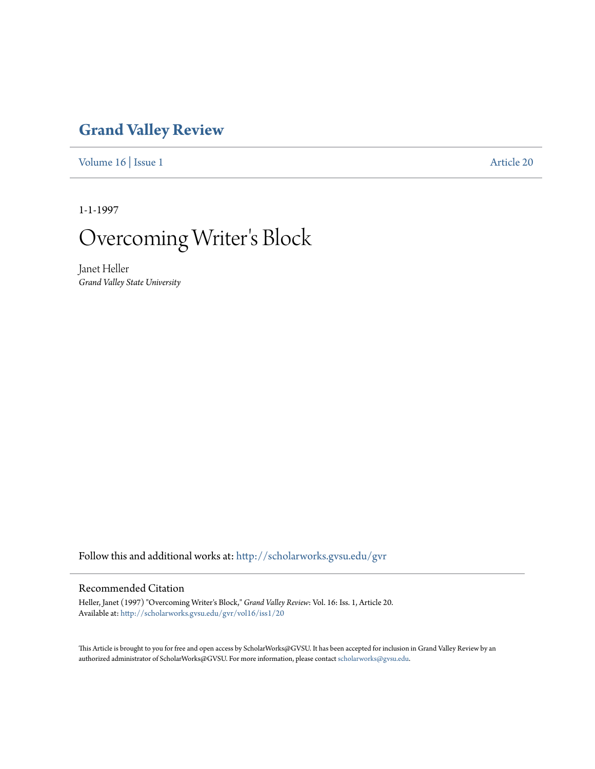## **[Grand Valley Review](http://scholarworks.gvsu.edu/gvr?utm_source=scholarworks.gvsu.edu%2Fgvr%2Fvol16%2Fiss1%2F20&utm_medium=PDF&utm_campaign=PDFCoverPages)**

[Volume 16](http://scholarworks.gvsu.edu/gvr/vol16?utm_source=scholarworks.gvsu.edu%2Fgvr%2Fvol16%2Fiss1%2F20&utm_medium=PDF&utm_campaign=PDFCoverPages) | [Issue 1](http://scholarworks.gvsu.edu/gvr/vol16/iss1?utm_source=scholarworks.gvsu.edu%2Fgvr%2Fvol16%2Fiss1%2F20&utm_medium=PDF&utm_campaign=PDFCoverPages) [Article 20](http://scholarworks.gvsu.edu/gvr/vol16/iss1/20?utm_source=scholarworks.gvsu.edu%2Fgvr%2Fvol16%2Fiss1%2F20&utm_medium=PDF&utm_campaign=PDFCoverPages)

1-1-1997

# Overcoming Writer 's Block

Janet Heller *Grand Valley State University*

Follow this and additional works at: [http://scholarworks.gvsu.edu/gvr](http://scholarworks.gvsu.edu/gvr?utm_source=scholarworks.gvsu.edu%2Fgvr%2Fvol16%2Fiss1%2F20&utm_medium=PDF&utm_campaign=PDFCoverPages)

#### Recommended Citation

Heller, Janet (1997) "Overcoming Writer's Block," *Grand Valley Review*: Vol. 16: Iss. 1, Article 20. Available at: [http://scholarworks.gvsu.edu/gvr/vol16/iss1/20](http://scholarworks.gvsu.edu/gvr/vol16/iss1/20?utm_source=scholarworks.gvsu.edu%2Fgvr%2Fvol16%2Fiss1%2F20&utm_medium=PDF&utm_campaign=PDFCoverPages)

This Article is brought to you for free and open access by ScholarWorks@GVSU. It has been accepted for inclusion in Grand Valley Review by an authorized administrator of ScholarWorks@GVSU. For more information, please contact [scholarworks@gvsu.edu.](mailto:scholarworks@gvsu.edu)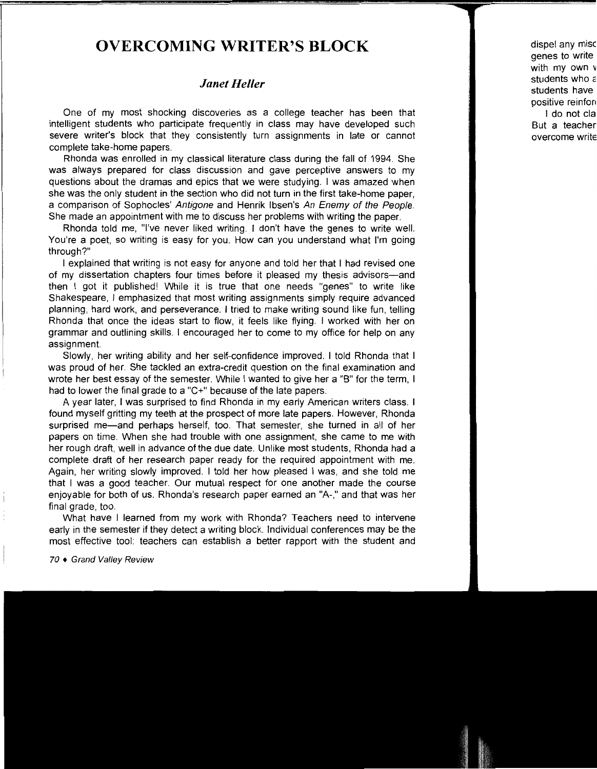### **OVERCOMING WRITER'S BLOCK**

#### *Janet Heller*

One of my most shocking discoveries as a college teacher has been that intelligent students who participate frequently in class may have developed such severe writer's block that they consistently turn assignments in late or cannot complete take-home papers.

Rhonda was enrolled in my classical literature class during the fall of 1994. She was always prepared for class discussion and gave perceptive answers to my questions about the dramas and epics that we were studying. I was amazed when she was the only student in the section who did not turn in the first take-home paper, a comparison of Sophocles' Antigone and Henrik Ibsen's An Enemy of the People. She made an appointment with me to discuss her problems with writing the paper.

Rhonda told me, "I've never liked writing. I don't have the genes to write well. You're a poet, so writing is easy for you. How can you understand what I'm going through?"

I explained that writing is not easy for anyone and told her that I had revised one of my dissertation chapters four times before it pleased my thesis advisors-and then I got it published! While it is true that one needs "genes" to write like Shakespeare, I emphasized that most writing assignments simply require advanced planning, hard work, and perseverance. I tried to make writing sound like fun, telling Rhonda that once the ideas start to flow, it feels like flying. I worked with her on grammar and outlining skills. I encouraged her to come to my office for help on any assignment.

Slowly, her writing ability and her self-confidence improved. I told Rhonda that I was proud of her. She tackled an extra-credit question on the final examination and wrote her best essay of the semester. While I wanted to give her a "B" for the term, I had to lower the final grade to a "C+" because of the late papers.

A year later, I was surprised to find Rhonda in my early American writers class. I found myself gritting my teeth at the prospect of more late papers. However, Rhonda surprised me-and perhaps herself, too. That semester, she turned in all of her papers on time. When she had trouble with one assignment, she came to me with her rough draft, well in advance of the due date. Unlike most students, Rhonda had a complete draft of her research paper ready for the required appointment with me. Again, her writing slowly improved. I told her how pleased I was, and she told me that I was a good teacher. Our mutual respect for one another made the course enjoyable for both of us. Rhonda's research paper earned an "A-," and that was her final grade, too.

What have I learned from my work with Rhonda? Teachers need to intervene early in the semester if they detect a writing block. Individual conferences may be the most effective tool: teachers can establish a better rapport with the student and